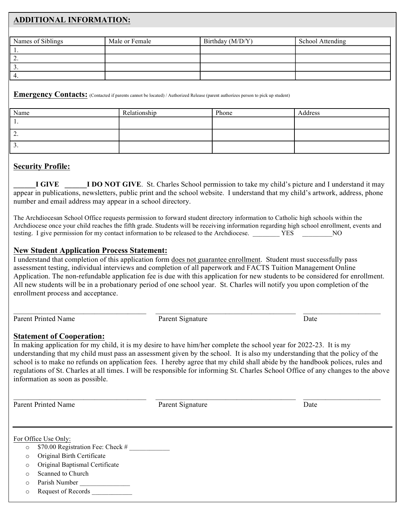# **ADDITIONAL INFORMATION:**

| Names of Siblings | Male or Female | Birthday (M/D/Y) | School Attending |
|-------------------|----------------|------------------|------------------|
|                   |                |                  |                  |
|                   |                |                  |                  |
|                   |                |                  |                  |
|                   |                |                  |                  |

#### **Emergency Contacts:** (Contacted if parents cannot be located) / Authorized Release (parent authorizes person to pick up student)

| Name     | Relationship | Phone | Address |
|----------|--------------|-------|---------|
| . .      |              |       |         |
| <u>.</u> |              |       |         |
| <u>.</u> |              |       |         |

# **Security Profile:**

**I GIVE I DO NOT GIVE.** St. Charles School permission to take my child's picture and I understand it may appear in publications, newsletters, public print and the school website. I understand that my child's artwork, address, phone number and email address may appear in a school directory.

The Archdiocesan School Office requests permission to forward student directory information to Catholic high schools within the Archdiocese once your child reaches the fifth grade. Students will be receiving information regarding high school enrollment, events and testing. I give permission for my contact information to be released to the Archdiocese.  $YES$  NO

## **New Student Application Process Statement:**

I understand that completion of this application form does not guarantee enrollment. Student must successfully pass assessment testing, individual interviews and completion of all paperwork and FACTS Tuition Management Online Application. The non-refundable application fee is due with this application for new students to be considered for enrollment. All new students will be in a probationary period of one school year. St. Charles will notify you upon completion of the enrollment process and acceptance.

Parent Printed Name Parent Signature Date Date

 $\_$  , and the set of the set of the set of the set of the set of the set of the set of the set of the set of the set of the set of the set of the set of the set of the set of the set of the set of the set of the set of th

### **Statement of Cooperation:**

In making application for my child, it is my desire to have him/her complete the school year for 2022-23. It is my understanding that my child must pass an assessment given by the school. It is also my understanding that the policy of the school is to make no refunds on application fees. I hereby agree that my child shall abide by the handbook polices, rules and regulations of St. Charles at all times. I will be responsible for informing St. Charles School Office of any changes to the above information as soon as possible.

\_\_\_\_\_\_\_\_\_\_\_\_\_\_\_\_\_\_\_\_\_\_\_\_\_\_\_\_\_\_\_\_\_\_\_\_ \_\_\_\_\_\_\_\_\_\_\_\_\_\_\_\_\_\_\_\_\_\_\_\_\_\_\_\_\_\_\_\_\_\_\_\_\_\_ \_\_\_\_\_\_\_\_\_\_\_\_\_\_\_\_\_\_\_\_\_

Parent Printed Name Parent Signature Date Date

For Office Use Only:

- $\circ$  \$70.00 Registration Fee: Check #
- o Original Birth Certificate
- o Original Baptismal Certificate
- o Scanned to Church
- $\circ$  Parish Number
- o Request of Records \_\_\_\_\_\_\_\_\_\_\_\_